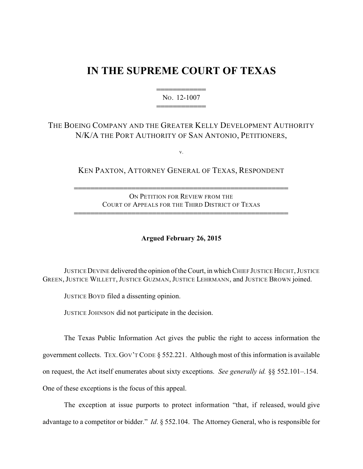## **IN THE SUPREME COURT OF TEXAS**

444444444444 NO. 12-1007 444444444444

## THE BOEING COMPANY AND THE GREATER KELLY DEVELOPMENT AUTHORITY N/K/A THE PORT AUTHORITY OF SAN ANTONIO, PETITIONERS,

v.

KEN PAXTON, ATTORNEY GENERAL OF TEXAS, RESPONDENT

ON PETITION FOR REVIEW FROM THE COURT OF APPEALS FOR THE THIRD DISTRICT OF TEXAS

4444444444444444444444444444444444444444444444444444

4444444444444444444444444444444444444444444444444444

**Argued February 26, 2015**

JUSTICEDEVINE delivered the opinion of the Court, in which CHIEF JUSTICE HECHT, JUSTICE GREEN, JUSTICE WILLETT, JUSTICE GUZMAN, JUSTICE LEHRMANN, and JUSTICE BROWN joined.

JUSTICE BOYD filed a dissenting opinion.

JUSTICE JOHNSON did not participate in the decision.

The Texas Public Information Act gives the public the right to access information the government collects. TEX. GOV'T CODE § 552.221. Although most of this information is available on request, the Act itself enumerates about sixty exceptions. *See generally id.* §§ 552.101–.154. One of these exceptions is the focus of this appeal.

 The exception at issue purports to protect information "that, if released, would give advantage to a competitor or bidder." *Id*. § 552.104. The Attorney General, who is responsible for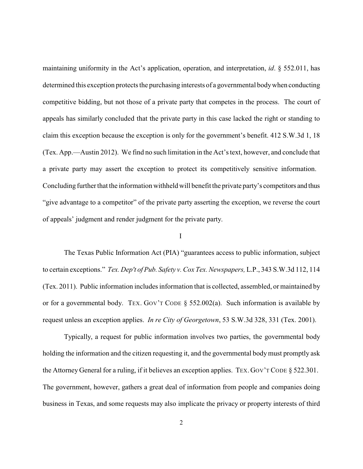maintaining uniformity in the Act's application, operation, and interpretation, *id*. § 552.011, has determined this exception protects the purchasing interests of a governmental bodywhen conducting competitive bidding, but not those of a private party that competes in the process. The court of appeals has similarly concluded that the private party in this case lacked the right or standing to claim this exception because the exception is only for the government's benefit. 412 S.W.3d 1, 18 (Tex. App.—Austin 2012). We find no such limitation in the Act's text, however, and conclude that a private party may assert the exception to protect its competitively sensitive information. Concluding further that the information withheld will benefit the private party's competitors and thus "give advantage to a competitor" of the private party asserting the exception, we reverse the court of appeals' judgment and render judgment for the private party.

## I

The Texas Public Information Act (PIA) "guarantees access to public information, subject to certain exceptions." *Tex. Dep't of Pub. Safety v. Cox Tex. Newspapers,* L.P., 343 S.W.3d 112, 114 (Tex. 2011). Public information includes information that is collected, assembled, or maintained by or for a governmental body. TEX. GOV'T CODE § 552.002(a). Such information is available by request unless an exception applies. *In re City of Georgetown*, 53 S.W.3d 328, 331 (Tex. 2001).

Typically, a request for public information involves two parties, the governmental body holding the information and the citizen requesting it, and the governmental bodymust promptly ask the Attorney General for a ruling, if it believes an exception applies. TEX. GOV'T CODE § 522.301. The government, however, gathers a great deal of information from people and companies doing business in Texas, and some requests may also implicate the privacy or property interests of third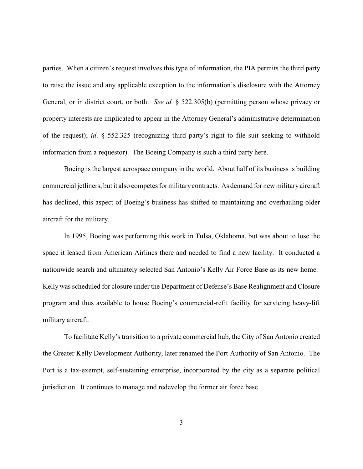parties. When a citizen's request involves this type of information, the PIA permits the third party to raise the issue and any applicable exception to the information's disclosure with the Attorney General, or in district court, or both. *See id.* § 522.305(b) (permitting person whose privacy or property interests are implicated to appear in the Attorney General's administrative determination of the request); *id*. § 552.325 (recognizing third party's right to file suit seeking to withhold information from a requestor). The Boeing Company is such a third party here.

Boeing is the largest aerospace company in the world. About half of its business is building commercial jetliners, but it also competes for militarycontracts. As demand for new militaryaircraft has declined, this aspect of Boeing's business has shifted to maintaining and overhauling older aircraft for the military.

In 1995, Boeing was performing this work in Tulsa, Oklahoma, but was about to lose the space it leased from American Airlines there and needed to find a new facility. It conducted a nationwide search and ultimately selected San Antonio's Kelly Air Force Base as its new home. Kelly was scheduled for closure under the Department of Defense's Base Realignment and Closure program and thus available to house Boeing's commercial-refit facility for servicing heavy-lift military aircraft.

To facilitate Kelly's transition to a private commercial hub, the City of San Antonio created the Greater Kelly Development Authority, later renamed the Port Authority of San Antonio. The Port is a tax-exempt, self-sustaining enterprise, incorporated by the city as a separate political jurisdiction. It continues to manage and redevelop the former air force base.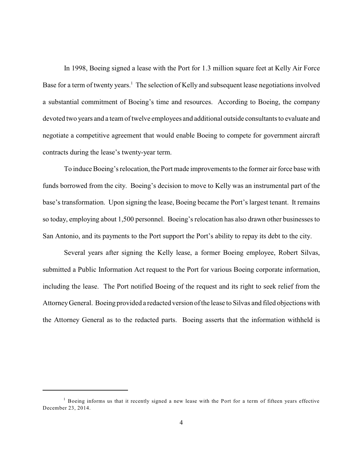In 1998, Boeing signed a lease with the Port for 1.3 million square feet at Kelly Air Force Base for a term of twenty years.<sup>1</sup> The selection of Kelly and subsequent lease negotiations involved a substantial commitment of Boeing's time and resources. According to Boeing, the company devoted two years and a team of twelve employees and additional outside consultants to evaluate and negotiate a competitive agreement that would enable Boeing to compete for government aircraft contracts during the lease's twenty-year term.

To induce Boeing's relocation, the Port made improvements to the former air force base with funds borrowed from the city. Boeing's decision to move to Kelly was an instrumental part of the base's transformation. Upon signing the lease, Boeing became the Port's largest tenant. It remains so today, employing about 1,500 personnel. Boeing's relocation has also drawn other businesses to San Antonio, and its payments to the Port support the Port's ability to repay its debt to the city.

Several years after signing the Kelly lease, a former Boeing employee, Robert Silvas, submitted a Public Information Act request to the Port for various Boeing corporate information, including the lease. The Port notified Boeing of the request and its right to seek relief from the AttorneyGeneral. Boeing provided a redacted version of the lease to Silvas and filed objections with the Attorney General as to the redacted parts. Boeing asserts that the information withheld is

<sup>&</sup>lt;sup>1</sup> Boeing informs us that it recently signed a new lease with the Port for a term of fifteen years effective December 23, 2014.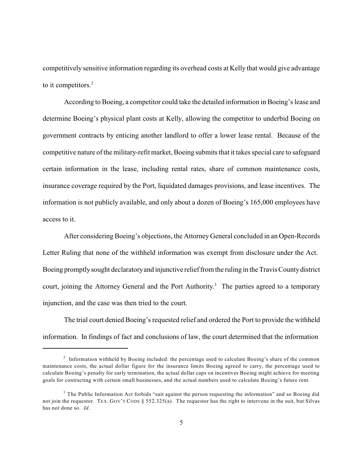competitively sensitive information regarding its overhead costs at Kelly that would give advantage to it competitors. $2$ 

According to Boeing, a competitor could take the detailed information in Boeing's lease and determine Boeing's physical plant costs at Kelly, allowing the competitor to underbid Boeing on government contracts by enticing another landlord to offer a lower lease rental. Because of the competitive nature of the military-refit market, Boeing submits that it takes special care to safeguard certain information in the lease, including rental rates, share of common maintenance costs, insurance coverage required by the Port, liquidated damages provisions, and lease incentives. The information is not publicly available, and only about a dozen of Boeing's 165,000 employees have access to it.

After considering Boeing's objections, the Attorney General concluded in an Open-Records Letter Ruling that none of the withheld information was exempt from disclosure under the Act. Boeing promptlysought declaratoryand injunctive relieffrom the ruling in the Travis Countydistrict court, joining the Attorney General and the Port Authority.<sup>3</sup> The parties agreed to a temporary injunction, and the case was then tried to the court.

The trial court denied Boeing's requested relief and ordered the Port to provide the withheld information. In findings of fact and conclusions of law, the court determined that the information

 $2$  Information withheld by Boeing included: the percentage used to calculate Boeing's share of the common maintenance costs, the actual dollar figure for the insurance limits Boeing agreed to carry, the percentage used to calculate Boeing's penalty for early termination, the actual dollar caps on incentives Boeing might achieve for meeting goals for contracting with certain small businesses, and the actual numbers used to calculate Boeing's future rent.

 $3$  The Public Information Act forbids "suit against the person requesting the information" and so Boeing did not join the requestor. TEX. GOV'T CODE § 552.325(a). The requestor has the right to intervene in the suit, but Silvas has not done so. *Id*.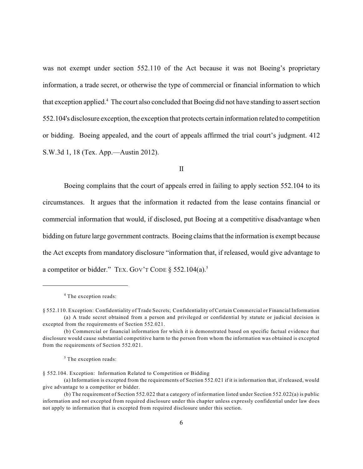was not exempt under section 552.110 of the Act because it was not Boeing's proprietary information, a trade secret, or otherwise the type of commercial or financial information to which that exception applied.<sup>4</sup> The court also concluded that Boeing did not have standing to assert section 552.104's disclosure exception, the exception that protects certain information related to competition or bidding. Boeing appealed, and the court of appeals affirmed the trial court's judgment. 412 S.W.3d 1, 18 (Tex. App.—Austin 2012).

II

Boeing complains that the court of appeals erred in failing to apply section 552.104 to its circumstances. It argues that the information it redacted from the lease contains financial or commercial information that would, if disclosed, put Boeing at a competitive disadvantage when bidding on future large government contracts. Boeing claims that the information is exempt because the Act excepts from mandatory disclosure "information that, if released, would give advantage to a competitor or bidder." TEX. GOV'T CODE § 552.104(a).<sup>5</sup>

<sup>&</sup>lt;sup>4</sup> The exception reads:

<sup>§</sup> 552.110. Exception: Confidentiality of Trade Secrets; Confidentiality of Certain Commercial or Financial Information (a) A trade secret obtained from a person and privileged or confidential by statute or judicial decision is excepted from the requirements of Section 552.021.

<sup>(</sup>b) Commercial or financial information for which it is demonstrated based on specific factual evidence that disclosure would cause substantial competitive harm to the person from whom the information was obtained is excepted from the requirements of Section 552.021.

 $5$  The exception reads:

<sup>§</sup> 552.104. Exception: Information Related to Competition or Bidding

<sup>(</sup>a) Information is excepted from the requirements of Section 552.021 if it is information that, if released, would give advantage to a competitor or bidder.

<sup>(</sup>b) The requirement of Section 552.022 that a category of information listed under Section 552.022(a) is public information and not excepted from required disclosure under this chapter unless expressly confidential under law does not apply to information that is excepted from required disclosure under this section.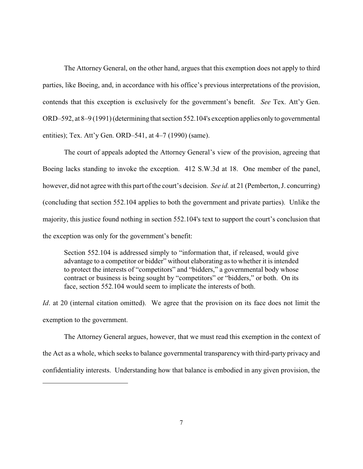The Attorney General, on the other hand, argues that this exemption does not apply to third parties, like Boeing, and, in accordance with his office's previous interpretations of the provision, contends that this exception is exclusively for the government's benefit. *See* Tex. Att'y Gen. ORD–592, at 8–9 (1991) (determining that section 552.104's exception applies onlyto governmental entities); Tex. Att'y Gen. ORD–541, at 4–7 (1990) (same).

The court of appeals adopted the Attorney General's view of the provision, agreeing that Boeing lacks standing to invoke the exception. 412 S.W.3d at 18. One member of the panel, however, did not agree with this part of the court's decision. *See id.* at 21 (Pemberton, J. concurring) (concluding that section 552.104 applies to both the government and private parties). Unlike the majority, this justice found nothing in section 552.104's text to support the court's conclusion that the exception was only for the government's benefit:

Section 552.104 is addressed simply to "information that, if released, would give advantage to a competitor or bidder" without elaborating as to whether it is intended to protect the interests of "competitors" and "bidders," a governmental body whose contract or business is being sought by "competitors" or "bidders," or both. On its face, section 552.104 would seem to implicate the interests of both.

*Id*. at 20 (internal citation omitted). We agree that the provision on its face does not limit the exemption to the government.

The Attorney General argues, however, that we must read this exemption in the context of the Act as a whole, which seeks to balance governmental transparency with third-party privacy and confidentiality interests. Understanding how that balance is embodied in any given provision, the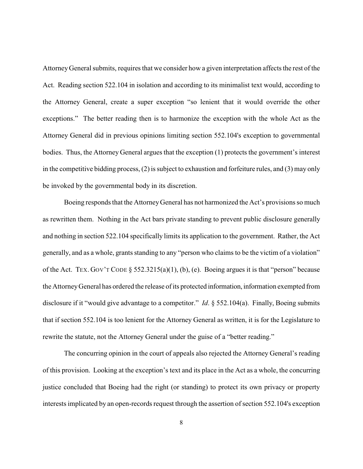Attorney General submits, requires that we consider how a given interpretation affects the rest of the Act. Reading section 522.104 in isolation and according to its minimalist text would, according to the Attorney General, create a super exception "so lenient that it would override the other exceptions." The better reading then is to harmonize the exception with the whole Act as the Attorney General did in previous opinions limiting section 552.104's exception to governmental bodies. Thus, the Attorney General argues that the exception (1) protects the government's interest in the competitive bidding process, (2) is subject to exhaustion and forfeiture rules, and (3) may only be invoked by the governmental body in its discretion.

Boeing responds that the AttorneyGeneral has not harmonized the Act's provisions so much as rewritten them. Nothing in the Act bars private standing to prevent public disclosure generally and nothing in section 522.104 specifically limits its application to the government. Rather, the Act generally, and as a whole, grants standing to any "person who claims to be the victim of a violation" of the Act. TEX. GOV'T CODE  $\S$  552.3215(a)(1), (b), (e). Boeing argues it is that "person" because the AttorneyGeneral has ordered the release of its protected information, information exempted from disclosure if it "would give advantage to a competitor." *Id*. § 552.104(a). Finally, Boeing submits that if section 552.104 is too lenient for the Attorney General as written, it is for the Legislature to rewrite the statute, not the Attorney General under the guise of a "better reading."

The concurring opinion in the court of appeals also rejected the Attorney General's reading of this provision. Looking at the exception's text and its place in the Act as a whole, the concurring justice concluded that Boeing had the right (or standing) to protect its own privacy or property interests implicated by an open-records request through the assertion of section 552.104's exception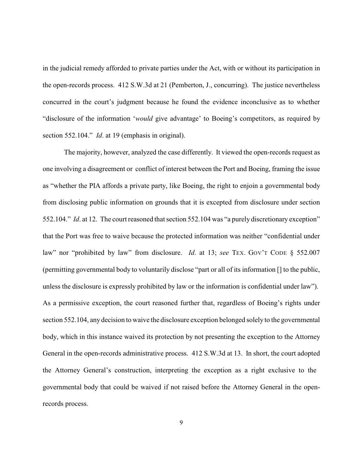in the judicial remedy afforded to private parties under the Act, with or without its participation in the open-records process. 412 S.W.3d at 21 (Pemberton, J., concurring). The justice nevertheless concurred in the court's judgment because he found the evidence inconclusive as to whether "disclosure of the information '*would* give advantage' to Boeing's competitors, as required by section 552.104." *Id*. at 19 (emphasis in original).

The majority, however, analyzed the case differently. It viewed the open-records request as one involving a disagreement or conflict of interest between the Port and Boeing, framing the issue as "whether the PIA affords a private party, like Boeing, the right to enjoin a governmental body from disclosing public information on grounds that it is excepted from disclosure under section 552.104." *Id*. at 12. The court reasoned that section 552.104 was "a purely discretionary exception" that the Port was free to waive because the protected information was neither "confidential under law" nor "prohibited by law" from disclosure. *Id*. at 13; *see* TEX. GOV'T CODE § 552.007 (permitting governmental body to voluntarily disclose "part or all of its information [] to the public, unless the disclosure is expressly prohibited by law or the information is confidential under law"). As a permissive exception, the court reasoned further that, regardless of Boeing's rights under section 552.104, any decision to waive the disclosure exception belonged solely to the governmental body, which in this instance waived its protection by not presenting the exception to the Attorney General in the open-records administrative process. 412 S.W.3d at 13. In short, the court adopted the Attorney General's construction, interpreting the exception as a right exclusive to the governmental body that could be waived if not raised before the Attorney General in the openrecords process.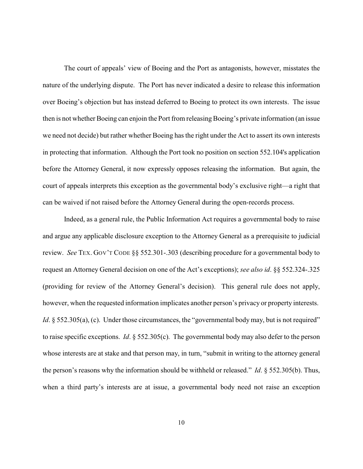The court of appeals' view of Boeing and the Port as antagonists, however, misstates the nature of the underlying dispute. The Port has never indicated a desire to release this information over Boeing's objection but has instead deferred to Boeing to protect its own interests. The issue then is not whether Boeing can enjoin the Port from releasing Boeing's private information (an issue we need not decide) but rather whether Boeing has the right under the Act to assert its own interests in protecting that information. Although the Port took no position on section 552.104's application before the Attorney General, it now expressly opposes releasing the information. But again, the court of appeals interprets this exception as the governmental body's exclusive right—a right that can be waived if not raised before the Attorney General during the open-records process.

Indeed, as a general rule, the Public Information Act requires a governmental body to raise and argue any applicable disclosure exception to the Attorney General as a prerequisite to judicial review. *See* TEX. GOV'T CODE §§ 552.301-.303 (describing procedure for a governmental body to request an Attorney General decision on one of the Act's exceptions); *see also id*. §§ 552.324-.325 (providing for review of the Attorney General's decision). This general rule does not apply, however, when the requested information implicates another person's privacy or property interests. *Id*. § 552.305(a), (c). Under those circumstances, the "governmental body may, but is not required" to raise specific exceptions. *Id*. § 552.305(c). The governmental body may also defer to the person whose interests are at stake and that person may, in turn, "submit in writing to the attorney general the person's reasons why the information should be withheld or released." *Id*. § 552.305(b). Thus, when a third party's interests are at issue, a governmental body need not raise an exception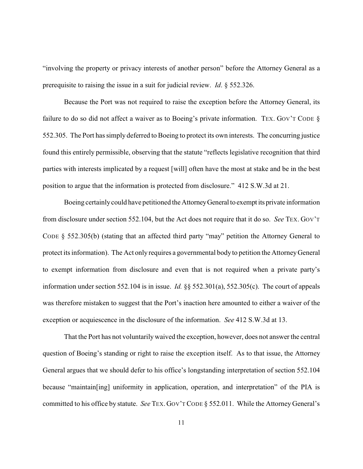"involving the property or privacy interests of another person" before the Attorney General as a prerequisite to raising the issue in a suit for judicial review. *Id*. § 552.326.

Because the Port was not required to raise the exception before the Attorney General, its failure to do so did not affect a waiver as to Boeing's private information. TEX. GOV'T CODE § 552.305. The Port has simply deferred to Boeing to protect its own interests. The concurring justice found this entirely permissible, observing that the statute "reflects legislative recognition that third parties with interests implicated by a request [will] often have the most at stake and be in the best position to argue that the information is protected from disclosure." 412 S.W.3d at 21.

Boeing certainlycould have petitioned theAttorneyGeneral to exempt its private information from disclosure under section 552.104, but the Act does not require that it do so. *See* TEX. GOV'T CODE § 552.305(b) (stating that an affected third party "may" petition the Attorney General to protect its information). The Act only requires a governmental body to petition the AttorneyGeneral to exempt information from disclosure and even that is not required when a private party's information under section 552.104 is in issue. *Id.* §§ 552.301(a), 552.305(c). The court of appeals was therefore mistaken to suggest that the Port's inaction here amounted to either a waiver of the exception or acquiescence in the disclosure of the information. *See* 412 S.W.3d at 13.

That the Port has not voluntarily waived the exception, however, does not answer the central question of Boeing's standing or right to raise the exception itself. As to that issue, the Attorney General argues that we should defer to his office's longstanding interpretation of section 552.104 because "maintain[ing] uniformity in application, operation, and interpretation" of the PIA is committed to his office by statute. *See* TEX.GOV'T CODE § 552.011. While the Attorney General's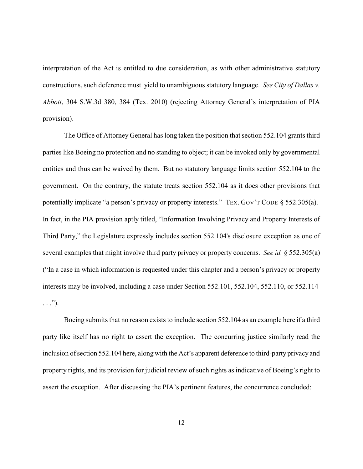interpretation of the Act is entitled to due consideration, as with other administrative statutory constructions, such deference must yield to unambiguous statutory language. *See City of Dallas v. Abbott*, 304 S.W.3d 380, 384 (Tex. 2010) (rejecting Attorney General's interpretation of PIA provision).

The Office of Attorney General has long taken the position that section 552.104 grants third parties like Boeing no protection and no standing to object; it can be invoked only by governmental entities and thus can be waived by them. But no statutory language limits section 552.104 to the government. On the contrary, the statute treats section 552.104 as it does other provisions that potentially implicate "a person's privacy or property interests." TEX. GOV'T CODE § 552.305(a). In fact, in the PIA provision aptly titled, "Information Involving Privacy and Property Interests of Third Party," the Legislature expressly includes section 552.104's disclosure exception as one of several examples that might involve third party privacy or property concerns. *See id.* § 552.305(a) ("In a case in which information is requested under this chapter and a person's privacy or property interests may be involved, including a case under Section 552.101, 552.104, 552.110, or 552.114  $\ldots$ ").

Boeing submits that no reason exists to include section 552.104 as an example here if a third party like itself has no right to assert the exception. The concurring justice similarly read the inclusion of section 552.104 here, along with the Act's apparent deference to third-party privacy and property rights, and its provision for judicial review of such rights as indicative of Boeing's right to assert the exception. After discussing the PIA's pertinent features, the concurrence concluded: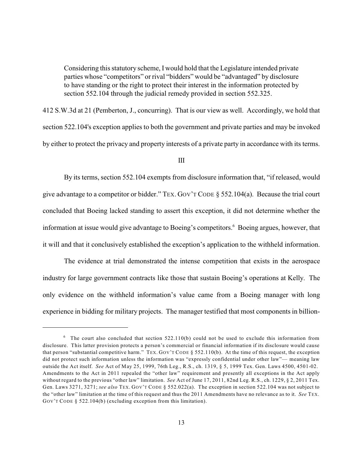Considering this statutory scheme, I would hold that the Legislature intended private parties whose "competitors" or rival "bidders" would be "advantaged" by disclosure to have standing or the right to protect their interest in the information protected by section 552.104 through the judicial remedy provided in section 552.325.

412 S.W.3d at 21 (Pemberton, J., concurring). That is our view as well. Accordingly, we hold that section 522.104's exception applies to both the government and private parties and may be invoked by either to protect the privacy and property interests of a private party in accordance with its terms.

## III

By its terms, section 552.104 exempts from disclosure information that, "if released, would give advantage to a competitor or bidder." TEX. GOV'T CODE § 552.104(a). Because the trial court concluded that Boeing lacked standing to assert this exception, it did not determine whether the information at issue would give advantage to Boeing's competitors.<sup>6</sup> Boeing argues, however, that it will and that it conclusively established the exception's application to the withheld information.

The evidence at trial demonstrated the intense competition that exists in the aerospace industry for large government contracts like those that sustain Boeing's operations at Kelly. The only evidence on the withheld information's value came from a Boeing manager with long experience in bidding for military projects. The manager testified that most components in billion-

 $6$  The court also concluded that section 522.110(b) could not be used to exclude this information from disclosure. This latter provision protects a person's commercial or financial information if its disclosure would cause that person "substantial competitive harm." TEX. GOV'T CODE § 552.110(b). At the time of this request, the exception did not protect such information unless the information was "expressly confidential under other law"— meaning law outside the Act itself. *See* Act of May 25, 1999, 76th Leg., R.S., ch. 1319, § 5, 1999 Tex. Gen. Laws 4500, 4501-02. Amendments to the Act in 2011 repealed the "other law" requirement and presently all exceptions in the Act apply without regard to the previous "other law" limitation. *See* Act of June 17, 2011, 82nd Leg. R.S., ch. 1229, § 2, 2011 Tex. Gen. Laws 3271, 3271; *see also* TEX. GOV'T CODE § 552.022(a). The exception in section 522.104 was not subject to the "other law" limitation at the time of this request and thus the 2011 Amendments have no relevance as to it. *See* TEX. GOV'T CODE § 522.104(b) (excluding exception from this limitation).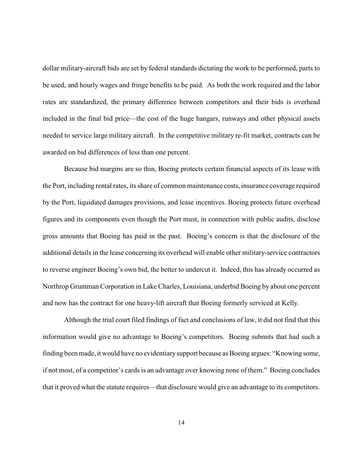dollar military-aircraft bids are set by federal standards dictating the work to be performed, parts to be used, and hourly wages and fringe benefits to be paid. As both the work required and the labor rates are standardized, the primary difference between competitors and their bids is overhead included in the final bid price—the cost of the huge hangars, runways and other physical assets needed to service large military aircraft. In the competitive military re-fit market, contracts can be awarded on bid differences of less than one percent.

Because bid margins are so thin, Boeing protects certain financial aspects of its lease with the Port, including rental rates, its share of common maintenance costs, insurance coverage required by the Port, liquidated damages provisions, and lease incentives. Boeing protects future overhead figures and its components even though the Port must, in connection with public audits, disclose gross amounts that Boeing has paid in the past. Boeing's concern is that the disclosure of the additional details in the lease concerning its overhead will enable other military-service contractors to reverse engineer Boeing's own bid, the better to undercut it. Indeed, this has already occurred as Northrop Grumman Corporation in Lake Charles, Louisiana, underbid Boeing by about one percent and now has the contract for one heavy-lift aircraft that Boeing formerly serviced at Kelly.

Although the trial court filed findings of fact and conclusions of law, it did not find that this information would give no advantage to Boeing's competitors. Boeing submits that had such a finding been made, it would have no evidentiarysupport because as Boeing argues: "Knowing some, if not most, of a competitor's cards is an advantage over knowing none of them." Boeing concludes that it proved what the statute requires—that disclosure would give an advantage to its competitors.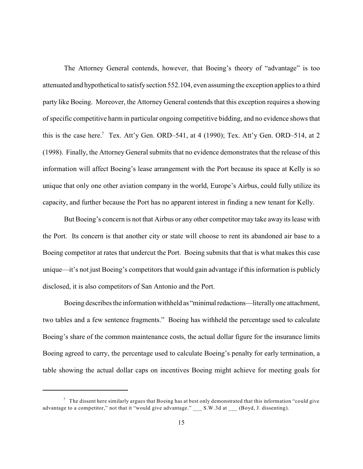The Attorney General contends, however, that Boeing's theory of "advantage" is too attenuated and hypothetical to satisfy section 552.104, even assuming the exception applies to a third party like Boeing. Moreover, the Attorney General contends that this exception requires a showing of specific competitive harm in particular ongoing competitive bidding, and no evidence shows that this is the case here.<sup>7</sup> Tex. Att'y Gen. ORD–541, at 4 (1990); Tex. Att'y Gen. ORD–514, at 2 (1998). Finally, the Attorney General submits that no evidence demonstrates that the release of this information will affect Boeing's lease arrangement with the Port because its space at Kelly is so unique that only one other aviation company in the world, Europe's Airbus, could fully utilize its capacity, and further because the Port has no apparent interest in finding a new tenant for Kelly.

But Boeing's concern is not that Airbus or any other competitor may take away its lease with the Port. Its concern is that another city or state will choose to rent its abandoned air base to a Boeing competitor at rates that undercut the Port. Boeing submits that that is what makes this case unique—it's not just Boeing's competitors that would gain advantage if this information is publicly disclosed, it is also competitors of San Antonio and the Port.

Boeing describes the information withheld as "minimal redactions—literallyone attachment, two tables and a few sentence fragments." Boeing has withheld the percentage used to calculate Boeing's share of the common maintenance costs, the actual dollar figure for the insurance limits Boeing agreed to carry, the percentage used to calculate Boeing's penalty for early termination, a table showing the actual dollar caps on incentives Boeing might achieve for meeting goals for

 $\sigma$  The dissent here similarly argues that Boeing has at best only demonstrated that this information "could give advantage to a competitor," not that it "would give advantage." \_\_\_ S.W.3d at \_\_\_ (Boyd, J. dissenting).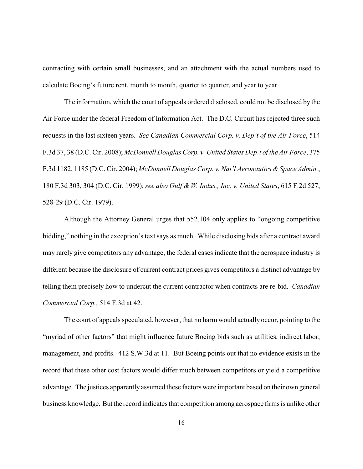contracting with certain small businesses, and an attachment with the actual numbers used to calculate Boeing's future rent, month to month, quarter to quarter, and year to year.

The information, which the court of appeals ordered disclosed, could not be disclosed by the Air Force under the federal Freedom of Information Act. The D.C. Circuit has rejected three such requests in the last sixteen years. *See Canadian Commercial Corp. v. Dep't of the Air Force*, 514 F.3d 37, 38 (D.C. Cir. 2008); *McDonnell Douglas Corp. v. United States Dep't of the Air Force*, 375 F.3d 1182, 1185 (D.C. Cir. 2004); *McDonnell Douglas Corp. v. Nat'l Aeronautics &Space Admin.*, 180 F.3d 303, 304 (D.C. Cir. 1999); *see also Gulf & W. Indus., Inc. v. United States*, 615 F.2d 527, 528-29 (D.C. Cir. 1979).

Although the Attorney General urges that 552.104 only applies to "ongoing competitive bidding," nothing in the exception's text says as much. While disclosing bids after a contract award may rarely give competitors any advantage, the federal cases indicate that the aerospace industry is different because the disclosure of current contract prices gives competitors a distinct advantage by telling them precisely how to undercut the current contractor when contracts are re-bid. *Canadian Commercial Corp.*, 514 F.3d at 42.

The court of appeals speculated, however, that no harm would actually occur, pointing to the "myriad of other factors" that might influence future Boeing bids such as utilities, indirect labor, management, and profits. 412 S.W.3d at 11. But Boeing points out that no evidence exists in the record that these other cost factors would differ much between competitors or yield a competitive advantage. The justices apparently assumed these factors were important based on their own general business knowledge. But the record indicates that competition among aerospace firms is unlike other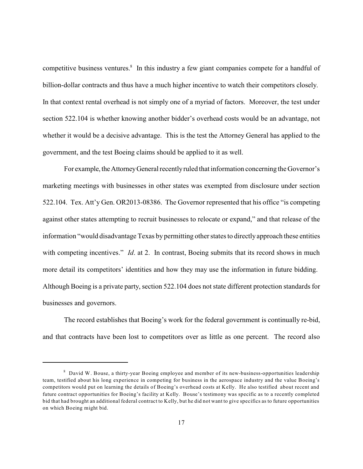competitive business ventures.<sup>8</sup> In this industry a few giant companies compete for a handful of billion-dollar contracts and thus have a much higher incentive to watch their competitors closely. In that context rental overhead is not simply one of a myriad of factors. Moreover, the test under section 522.104 is whether knowing another bidder's overhead costs would be an advantage, not whether it would be a decisive advantage. This is the test the Attorney General has applied to the government, and the test Boeing claims should be applied to it as well.

For example, the Attorney General recently ruled that information concerning the Governor's marketing meetings with businesses in other states was exempted from disclosure under section 522.104. Tex. Att'y Gen. OR2013-08386. The Governor represented that his office "is competing against other states attempting to recruit businesses to relocate or expand," and that release of the information "would disadvantage Texas by permitting other states to directly approach these entities with competing incentives." *Id.* at 2. In contrast, Boeing submits that its record shows in much more detail its competitors' identities and how they may use the information in future bidding. Although Boeing is a private party, section 522.104 does not state different protection standards for businesses and governors.

The record establishes that Boeing's work for the federal government is continually re-bid, and that contracts have been lost to competitors over as little as one percent. The record also

 $8$  David W. Bouse, a thirty-year Boeing employee and member of its new-business-opportunities leadership team, testified about his long experience in competing for business in the aerospace industry and the value Boeing's competitors would put on learning the details of Boeing's overhead costs at Kelly. He also testified about recent and future contract opportunities for Boeing's facility at Kelly. Bouse's testimony was specific as to a recently completed bid that had brought an additional federal contract to Kelly, but he did not want to give specifics as to future opportunities on which Boeing might bid.